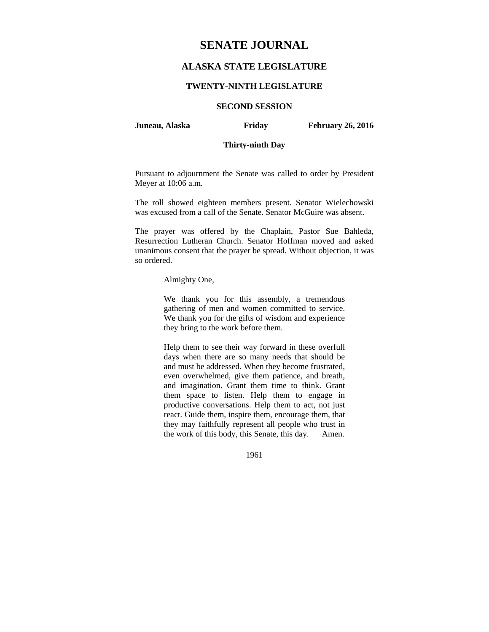# **SENATE JOURNAL**

# **ALASKA STATE LEGISLATURE**

### **TWENTY-NINTH LEGISLATURE**

# **SECOND SESSION**

**Juneau, Alaska Friday February 26, 2016** 

# **Thirty-ninth Day**

Pursuant to adjournment the Senate was called to order by President Meyer at 10:06 a.m.

The roll showed eighteen members present. Senator Wielechowski was excused from a call of the Senate. Senator McGuire was absent.

The prayer was offered by the Chaplain, Pastor Sue Bahleda, Resurrection Lutheran Church. Senator Hoffman moved and asked unanimous consent that the prayer be spread. Without objection, it was so ordered.

#### Almighty One,

We thank you for this assembly, a tremendous gathering of men and women committed to service. We thank you for the gifts of wisdom and experience they bring to the work before them.

Help them to see their way forward in these overfull days when there are so many needs that should be and must be addressed. When they become frustrated, even overwhelmed, give them patience, and breath, and imagination. Grant them time to think. Grant them space to listen. Help them to engage in productive conversations. Help them to act, not just react. Guide them, inspire them, encourage them, that they may faithfully represent all people who trust in the work of this body, this Senate, this day. Amen.

1961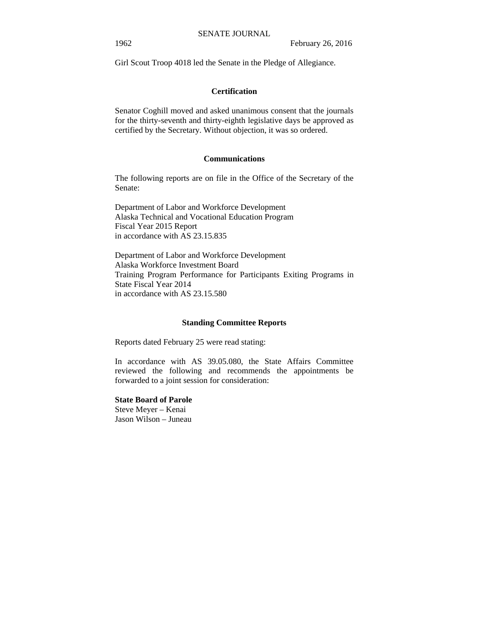Girl Scout Troop 4018 led the Senate in the Pledge of Allegiance.

### **Certification**

Senator Coghill moved and asked unanimous consent that the journals for the thirty-seventh and thirty-eighth legislative days be approved as certified by the Secretary. Without objection, it was so ordered.

### **Communications**

The following reports are on file in the Office of the Secretary of the Senate:

Department of Labor and Workforce Development Alaska Technical and Vocational Education Program Fiscal Year 2015 Report in accordance with AS 23.15.835

Department of Labor and Workforce Development Alaska Workforce Investment Board Training Program Performance for Participants Exiting Programs in State Fiscal Year 2014 in accordance with AS 23.15.580

### **Standing Committee Reports**

Reports dated February 25 were read stating:

In accordance with AS 39.05.080, the State Affairs Committee reviewed the following and recommends the appointments be forwarded to a joint session for consideration:

### **State Board of Parole**

Steve Meyer – Kenai Jason Wilson – Juneau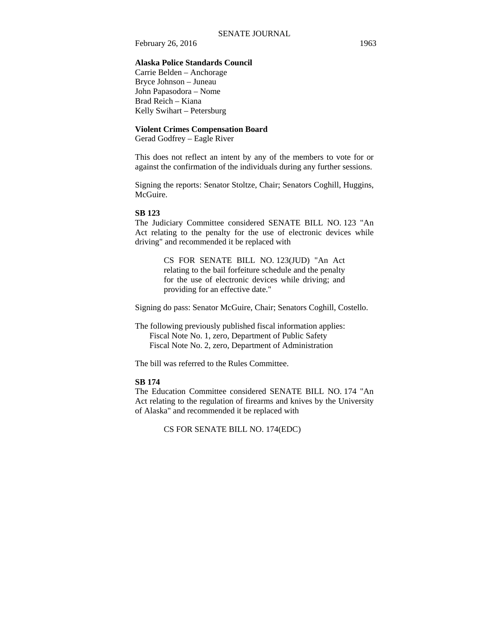# **Alaska Police Standards Council**

Carrie Belden – Anchorage Bryce Johnson – Juneau John Papasodora – Nome Brad Reich – Kiana Kelly Swihart – Petersburg

### **Violent Crimes Compensation Board**

Gerad Godfrey – Eagle River

This does not reflect an intent by any of the members to vote for or against the confirmation of the individuals during any further sessions.

Signing the reports: Senator Stoltze, Chair; Senators Coghill, Huggins, McGuire.

### **SB 123**

The Judiciary Committee considered SENATE BILL NO. 123 "An Act relating to the penalty for the use of electronic devices while driving" and recommended it be replaced with

> CS FOR SENATE BILL NO. 123(JUD) "An Act relating to the bail forfeiture schedule and the penalty for the use of electronic devices while driving; and providing for an effective date."

Signing do pass: Senator McGuire, Chair; Senators Coghill, Costello.

The following previously published fiscal information applies: Fiscal Note No. 1, zero, Department of Public Safety Fiscal Note No. 2, zero, Department of Administration

The bill was referred to the Rules Committee.

### **SB 174**

The Education Committee considered SENATE BILL NO. 174 "An Act relating to the regulation of firearms and knives by the University of Alaska" and recommended it be replaced with

CS FOR SENATE BILL NO. 174(EDC)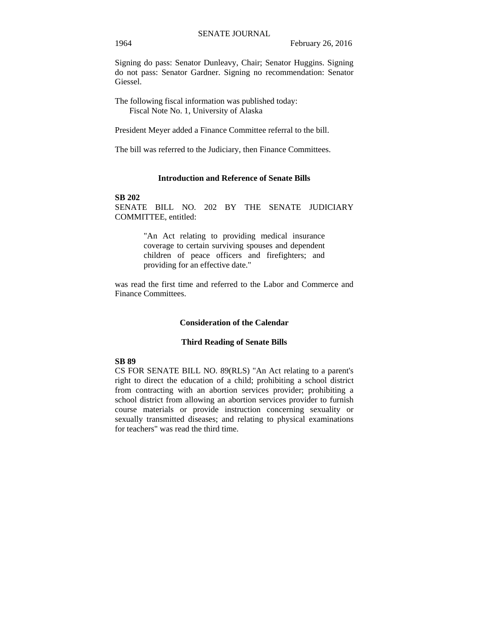Signing do pass: Senator Dunleavy, Chair; Senator Huggins. Signing do not pass: Senator Gardner. Signing no recommendation: Senator Giessel.

The following fiscal information was published today: Fiscal Note No. 1, University of Alaska

President Meyer added a Finance Committee referral to the bill.

The bill was referred to the Judiciary, then Finance Committees.

### **Introduction and Reference of Senate Bills**

### **SB 202**

SENATE BILL NO. 202 BY THE SENATE JUDICIARY COMMITTEE, entitled:

> "An Act relating to providing medical insurance coverage to certain surviving spouses and dependent children of peace officers and firefighters; and providing for an effective date."

was read the first time and referred to the Labor and Commerce and Finance Committees.

### **Consideration of the Calendar**

#### **Third Reading of Senate Bills**

# **SB 89**

CS FOR SENATE BILL NO. 89(RLS) "An Act relating to a parent's right to direct the education of a child; prohibiting a school district from contracting with an abortion services provider; prohibiting a school district from allowing an abortion services provider to furnish course materials or provide instruction concerning sexuality or sexually transmitted diseases; and relating to physical examinations for teachers" was read the third time.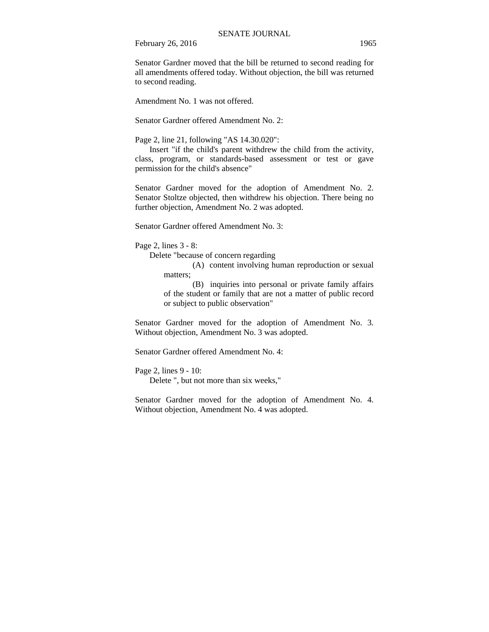Senator Gardner moved that the bill be returned to second reading for all amendments offered today. Without objection, the bill was returned to second reading.

Amendment No. 1 was not offered.

Senator Gardner offered Amendment No. 2:

Page 2, line 21, following "AS 14.30.020":

Insert "if the child's parent withdrew the child from the activity, class, program, or standards-based assessment or test or gave permission for the child's absence"

Senator Gardner moved for the adoption of Amendment No. 2. Senator Stoltze objected, then withdrew his objection. There being no further objection, Amendment No. 2 was adopted.

Senator Gardner offered Amendment No. 3:

Page 2, lines 3 - 8:

Delete "because of concern regarding

(A) content involving human reproduction or sexual matters:

(B) inquiries into personal or private family affairs of the student or family that are not a matter of public record or subject to public observation"

Senator Gardner moved for the adoption of Amendment No. 3. Without objection, Amendment No. 3 was adopted.

Senator Gardner offered Amendment No. 4:

Page 2, lines 9 - 10:

Delete ", but not more than six weeks,"

Senator Gardner moved for the adoption of Amendment No. 4. Without objection, Amendment No. 4 was adopted.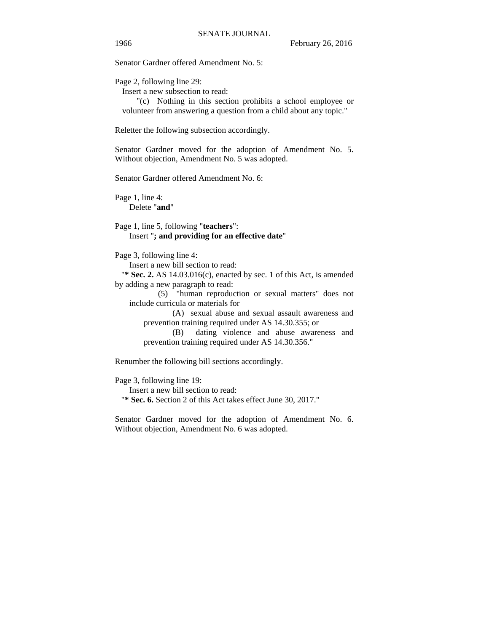Senator Gardner offered Amendment No. 5:

Page 2, following line 29:

Insert a new subsection to read:

"(c) Nothing in this section prohibits a school employee or volunteer from answering a question from a child about any topic."

Reletter the following subsection accordingly.

Senator Gardner moved for the adoption of Amendment No. 5. Without objection, Amendment No. 5 was adopted.

Senator Gardner offered Amendment No. 6:

Page 1, line 4: Delete "**and**"

Page 1, line 5, following "**teachers**": Insert "**; and providing for an effective date**"

Page 3, following line 4:

Insert a new bill section to read:

"**\* Sec. 2.** AS 14.03.016(c), enacted by sec. 1 of this Act, is amended by adding a new paragraph to read:

(5) "human reproduction or sexual matters" does not include curricula or materials for

(A) sexual abuse and sexual assault awareness and prevention training required under AS 14.30.355; or

(B) dating violence and abuse awareness and prevention training required under AS 14.30.356."

Renumber the following bill sections accordingly.

Page 3, following line 19:

Insert a new bill section to read:

"**\* Sec. 6.** Section 2 of this Act takes effect June 30, 2017."

Senator Gardner moved for the adoption of Amendment No. 6. Without objection, Amendment No. 6 was adopted.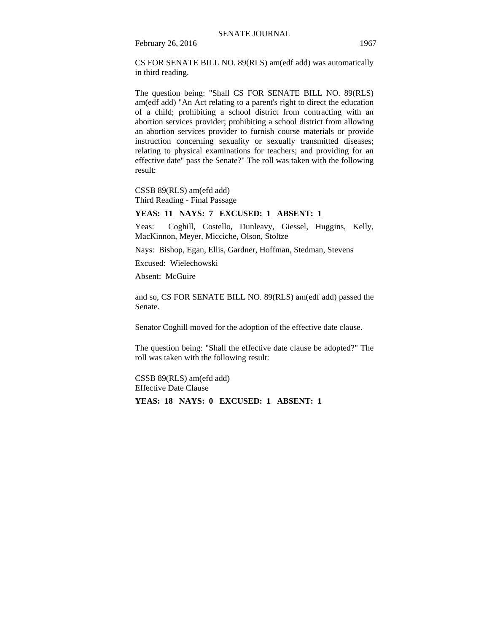CS FOR SENATE BILL NO. 89(RLS) am(edf add) was automatically in third reading.

The question being: "Shall CS FOR SENATE BILL NO. 89(RLS) am(edf add) "An Act relating to a parent's right to direct the education of a child; prohibiting a school district from contracting with an abortion services provider; prohibiting a school district from allowing an abortion services provider to furnish course materials or provide instruction concerning sexuality or sexually transmitted diseases; relating to physical examinations for teachers; and providing for an effective date" pass the Senate?" The roll was taken with the following result:

CSSB 89(RLS) am(efd add) Third Reading - Final Passage

#### **YEAS: 11 NAYS: 7 EXCUSED: 1 ABSENT: 1**

Yeas: Coghill, Costello, Dunleavy, Giessel, Huggins, Kelly, MacKinnon, Meyer, Micciche, Olson, Stoltze

Nays: Bishop, Egan, Ellis, Gardner, Hoffman, Stedman, Stevens

Excused: Wielechowski

Absent: McGuire

and so, CS FOR SENATE BILL NO. 89(RLS) am(edf add) passed the Senate.

Senator Coghill moved for the adoption of the effective date clause.

The question being: "Shall the effective date clause be adopted?" The roll was taken with the following result:

CSSB 89(RLS) am(efd add) Effective Date Clause

**YEAS: 18 NAYS: 0 EXCUSED: 1 ABSENT: 1**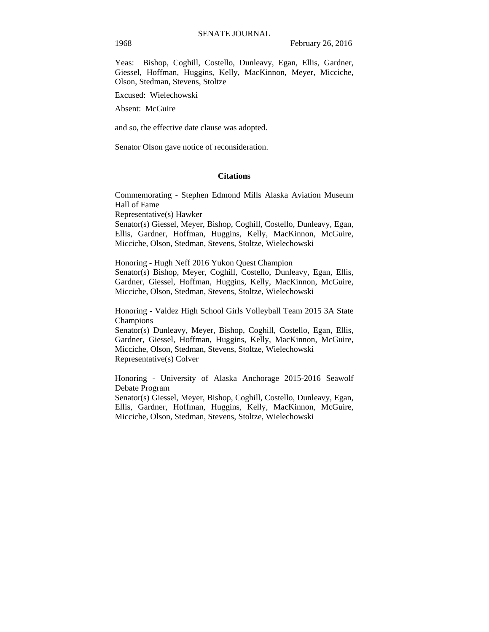Yeas: Bishop, Coghill, Costello, Dunleavy, Egan, Ellis, Gardner, Giessel, Hoffman, Huggins, Kelly, MacKinnon, Meyer, Micciche, Olson, Stedman, Stevens, Stoltze

Excused: Wielechowski

Absent: McGuire

and so, the effective date clause was adopted.

Senator Olson gave notice of reconsideration.

### **Citations**

Commemorating - Stephen Edmond Mills Alaska Aviation Museum Hall of Fame Representative(s) Hawker Senator(s) Giessel, Meyer, Bishop, Coghill, Costello, Dunleavy, Egan,

Ellis, Gardner, Hoffman, Huggins, Kelly, MacKinnon, McGuire, Micciche, Olson, Stedman, Stevens, Stoltze, Wielechowski

Honoring - Hugh Neff 2016 Yukon Quest Champion Senator(s) Bishop, Meyer, Coghill, Costello, Dunleavy, Egan, Ellis, Gardner, Giessel, Hoffman, Huggins, Kelly, MacKinnon, McGuire, Micciche, Olson, Stedman, Stevens, Stoltze, Wielechowski

Honoring - Valdez High School Girls Volleyball Team 2015 3A State Champions

Senator(s) Dunleavy, Meyer, Bishop, Coghill, Costello, Egan, Ellis, Gardner, Giessel, Hoffman, Huggins, Kelly, MacKinnon, McGuire, Micciche, Olson, Stedman, Stevens, Stoltze, Wielechowski Representative(s) Colver

Honoring - University of Alaska Anchorage 2015-2016 Seawolf Debate Program

Senator(s) Giessel, Meyer, Bishop, Coghill, Costello, Dunleavy, Egan, Ellis, Gardner, Hoffman, Huggins, Kelly, MacKinnon, McGuire, Micciche, Olson, Stedman, Stevens, Stoltze, Wielechowski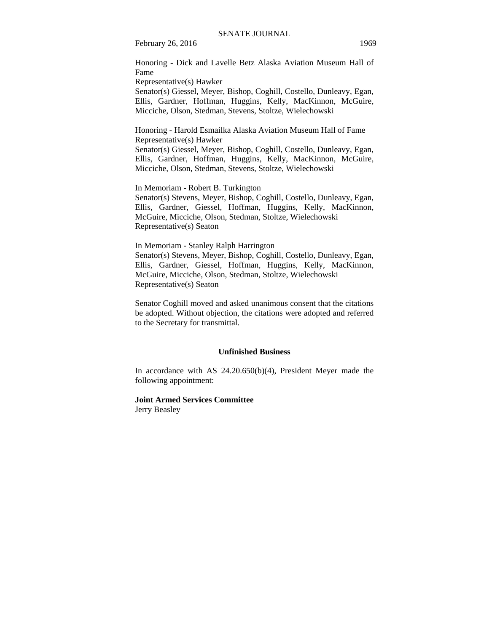Honoring - Dick and Lavelle Betz Alaska Aviation Museum Hall of Fame

Representative(s) Hawker

Senator(s) Giessel, Meyer, Bishop, Coghill, Costello, Dunleavy, Egan, Ellis, Gardner, Hoffman, Huggins, Kelly, MacKinnon, McGuire, Micciche, Olson, Stedman, Stevens, Stoltze, Wielechowski

Honoring - Harold Esmailka Alaska Aviation Museum Hall of Fame Representative(s) Hawker

Senator(s) Giessel, Meyer, Bishop, Coghill, Costello, Dunleavy, Egan, Ellis, Gardner, Hoffman, Huggins, Kelly, MacKinnon, McGuire, Micciche, Olson, Stedman, Stevens, Stoltze, Wielechowski

In Memoriam - Robert B. Turkington Senator(s) Stevens, Meyer, Bishop, Coghill, Costello, Dunleavy, Egan, Ellis, Gardner, Giessel, Hoffman, Huggins, Kelly, MacKinnon, McGuire, Micciche, Olson, Stedman, Stoltze, Wielechowski Representative(s) Seaton

In Memoriam - Stanley Ralph Harrington

Senator(s) Stevens, Meyer, Bishop, Coghill, Costello, Dunleavy, Egan, Ellis, Gardner, Giessel, Hoffman, Huggins, Kelly, MacKinnon, McGuire, Micciche, Olson, Stedman, Stoltze, Wielechowski Representative(s) Seaton

Senator Coghill moved and asked unanimous consent that the citations be adopted. Without objection, the citations were adopted and referred to the Secretary for transmittal.

### **Unfinished Business**

In accordance with AS 24.20.650(b)(4), President Meyer made the following appointment:

**Joint Armed Services Committee**  Jerry Beasley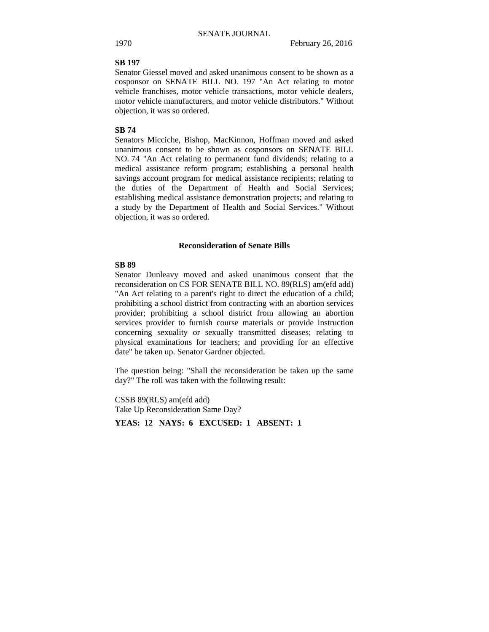### **SB 197**

Senator Giessel moved and asked unanimous consent to be shown as a cosponsor on SENATE BILL NO. 197 "An Act relating to motor vehicle franchises, motor vehicle transactions, motor vehicle dealers, motor vehicle manufacturers, and motor vehicle distributors." Without objection, it was so ordered.

#### **SB 74**

Senators Micciche, Bishop, MacKinnon, Hoffman moved and asked unanimous consent to be shown as cosponsors on SENATE BILL NO. 74 "An Act relating to permanent fund dividends; relating to a medical assistance reform program; establishing a personal health savings account program for medical assistance recipients; relating to the duties of the Department of Health and Social Services; establishing medical assistance demonstration projects; and relating to a study by the Department of Health and Social Services." Without objection, it was so ordered.

### **Reconsideration of Senate Bills**

### **SB 89**

Senator Dunleavy moved and asked unanimous consent that the reconsideration on CS FOR SENATE BILL NO. 89(RLS) am(efd add) "An Act relating to a parent's right to direct the education of a child; prohibiting a school district from contracting with an abortion services provider; prohibiting a school district from allowing an abortion services provider to furnish course materials or provide instruction concerning sexuality or sexually transmitted diseases; relating to physical examinations for teachers; and providing for an effective date" be taken up. Senator Gardner objected.

The question being: "Shall the reconsideration be taken up the same day?" The roll was taken with the following result:

CSSB 89(RLS) am(efd add) Take Up Reconsideration Same Day?

**YEAS: 12 NAYS: 6 EXCUSED: 1 ABSENT: 1**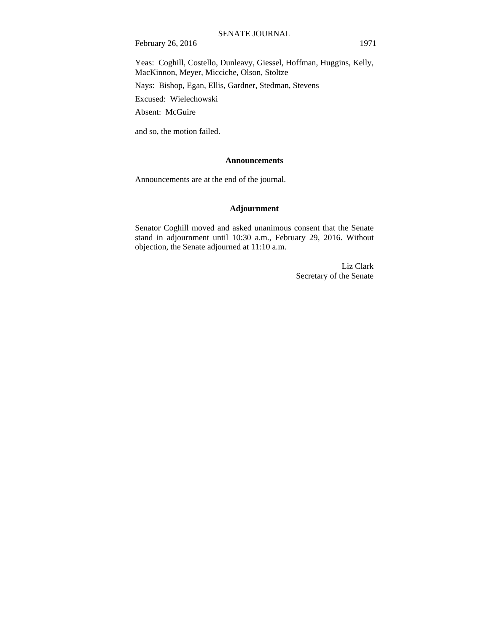Yeas: Coghill, Costello, Dunleavy, Giessel, Hoffman, Huggins, Kelly, MacKinnon, Meyer, Micciche, Olson, Stoltze

Nays: Bishop, Egan, Ellis, Gardner, Stedman, Stevens

Excused: Wielechowski

Absent: McGuire

and so, the motion failed.

### **Announcements**

Announcements are at the end of the journal.

# **Adjournment**

Senator Coghill moved and asked unanimous consent that the Senate stand in adjournment until 10:30 a.m., February 29, 2016. Without objection, the Senate adjourned at 11:10 a.m.

> Liz Clark Secretary of the Senate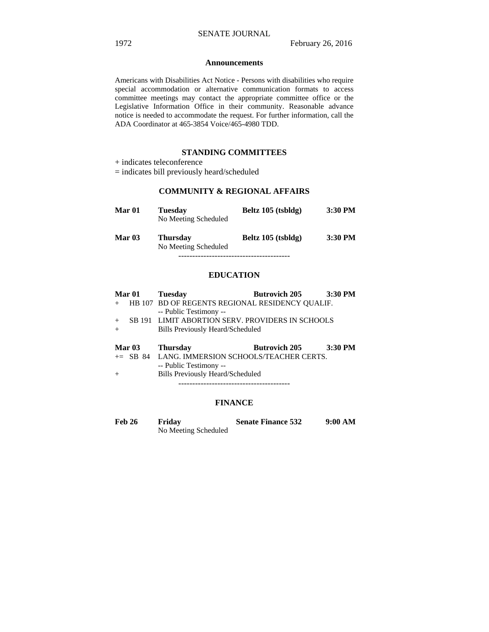#### **Announcements**

Americans with Disabilities Act Notice - Persons with disabilities who require special accommodation or alternative communication formats to access committee meetings may contact the appropriate committee office or the Legislative Information Office in their community. Reasonable advance notice is needed to accommodate the request. For further information, call the ADA Coordinator at 465-3854 Voice/465-4980 TDD.

### **STANDING COMMITTEES**

# **COMMUNITY & REGIONAL AFFAIRS**

| Mar 01   | <b>Tuesday</b><br>No Meeting Scheduled  | Beltz 105 (tsbldg) | $3:30$ PM |
|----------|-----------------------------------------|--------------------|-----------|
| Mar $03$ | <b>Thursday</b><br>No Meeting Scheduled | Beltz 105 (tsbldg) | 3:30 PM   |
|          |                                         |                    |           |

### **EDUCATION**

| Mar 01        | <b>Tuesday</b>                                    | <b>Butrovich 205</b> | 3:30 PM   |
|---------------|---------------------------------------------------|----------------------|-----------|
|               | HB 107 BD OF REGENTS REGIONAL RESIDENCY OUALIF.   |                      |           |
|               | -- Public Testimony --                            |                      |           |
| $+$           | SB 191 LIMIT ABORTION SERV. PROVIDERS IN SCHOOLS  |                      |           |
| $+$           | Bills Previously Heard/Scheduled                  |                      |           |
|               |                                                   |                      |           |
|               |                                                   |                      |           |
| <b>Mar 03</b> | <b>Thursday</b>                                   | <b>Butrovich 205</b> | $3:30$ PM |
|               | $+=$ SB 84 LANG. IMMERSION SCHOOLS/TEACHER CERTS. |                      |           |
|               | -- Public Testimony --                            |                      |           |
| $+$           | <b>Bills Previously Heard/Scheduled</b>           |                      |           |

### **FINANCE**

| <b>Feb 26</b> | Friday               | <b>Senate Finance 532</b> | 9:00 AM |
|---------------|----------------------|---------------------------|---------|
|               | No Meeting Scheduled |                           |         |

<sup>+</sup> indicates teleconference

<sup>=</sup> indicates bill previously heard/scheduled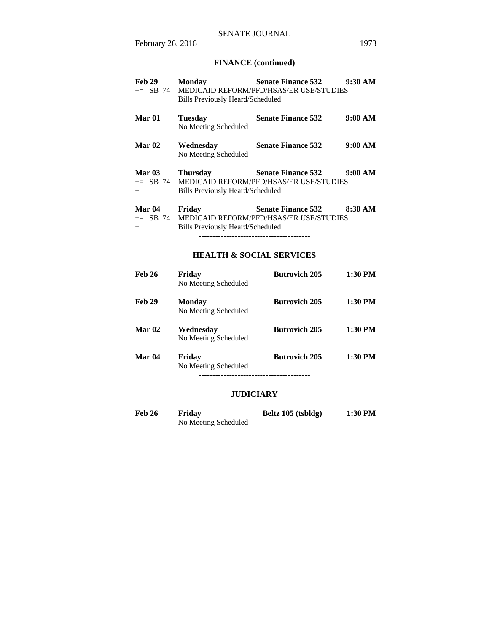# **FINANCE (continued)**

| Feb 29<br>$+$                          | <b>Monday</b><br><b>Bills Previously Heard/Scheduled</b>   | <b>Senate Finance 532</b><br>+= SB 74 MEDICAID REFORM/PFD/HSAS/ER USE/STUDIES  | $9:30 \text{ AM}$ |
|----------------------------------------|------------------------------------------------------------|--------------------------------------------------------------------------------|-------------------|
| Mar <sub>01</sub>                      | <b>Tuesday</b><br>No Meeting Scheduled                     | <b>Senate Finance 532</b>                                                      | 9:00 AM           |
| Mar <sub>02</sub>                      | Wednesday<br>No Meeting Scheduled                          | <b>Senate Finance 532</b>                                                      | 9:00 AM           |
| Mar $03$<br>$+$                        | <b>Thursday</b><br><b>Bills Previously Heard/Scheduled</b> | Senate Finance 532 9:00 AM<br>+= SB 74 MEDICAID REFORM/PFD/HSAS/ER USE/STUDIES |                   |
| Mar <sub>04</sub><br>$+=$ SB 74<br>$+$ | Friday<br>Bills Previously Heard/Scheduled                 | Senate Finance 532 8:30 AM<br>MEDICAID REFORM/PFD/HSAS/ER USE/STUDIES          |                   |
|                                        |                                                            | <b>HEALTH &amp; SOCIAL SERVICES</b>                                            |                   |
| <b>Feb 26</b>                          | Friday<br>No Meeting Scheduled                             | <b>Butrovich 205</b>                                                           | 1:30 PM           |

|               | TO MEETING SCHEDULED                  |                      |           |
|---------------|---------------------------------------|----------------------|-----------|
| <b>Feb 29</b> | <b>Monday</b><br>No Meeting Scheduled | <b>Butrovich 205</b> | $1:30$ PM |
| <b>Mar 02</b> | Wednesday<br>No Meeting Scheduled     | <b>Butrovich 205</b> | $1:30$ PM |
| Mar 04        | Friday<br>No Meeting Scheduled        | <b>Butrovich 205</b> | $1:30$ PM |
|               |                                       |                      |           |

# **JUDICIARY**

| Feb 26 | Friday               | Beltz 105 (tsbldg) | 1:30 PM |
|--------|----------------------|--------------------|---------|
|        | No Meeting Scheduled |                    |         |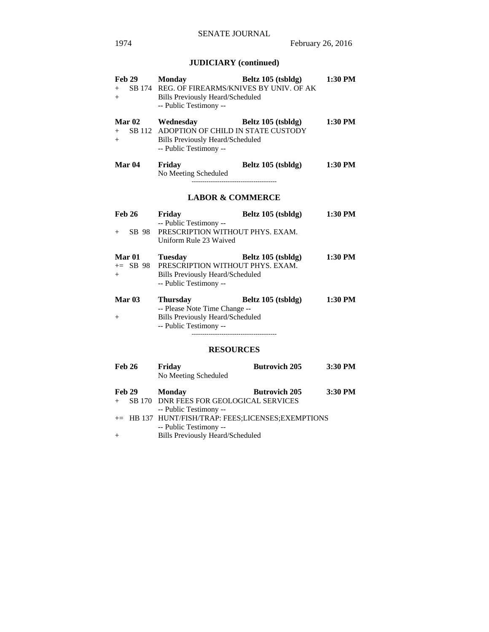# **JUDICIARY (continued)**

| <b>Feb 29</b><br>$+$<br>$^{+}$      | <b>Monday</b><br>SB 174 REG. OF FIREARMS/KNIVES BY UNIV. OF AK<br><b>Bills Previously Heard/Scheduled</b><br>-- Public Testimony --                           | Beltz 105 (tsbldg)   | 1:30 PM |
|-------------------------------------|---------------------------------------------------------------------------------------------------------------------------------------------------------------|----------------------|---------|
| <b>Mar 02</b><br>$+$<br>$^{+}$      | Wednesday<br>SB 112 ADOPTION OF CHILD IN STATE CUSTODY<br>Bills Previously Heard/Scheduled<br>-- Public Testimony --                                          | Beltz 105 (tsbldg)   | 1:30 PM |
| Mar <sub>04</sub>                   | Friday<br>No Meeting Scheduled                                                                                                                                | Beltz 105 (tsbldg)   | 1:30 PM |
|                                     | <b>LABOR &amp; COMMERCE</b>                                                                                                                                   |                      |         |
| <b>Feb 26</b><br>SB 98<br>$+$       | Friday<br>-- Public Testimony --<br>PRESCRIPTION WITHOUT PHYS. EXAM.<br>Uniform Rule 23 Waived                                                                | Beltz 105 (tsbldg)   | 1:30 PM |
| <b>Mar 01</b><br>$\pm$ SB 98<br>$+$ | <b>Tuesday</b><br>PRESCRIPTION WITHOUT PHYS. EXAM.<br><b>Bills Previously Heard/Scheduled</b><br>-- Public Testimony --                                       | Beltz 105 (tsbldg)   | 1:30 PM |
| Mar $03$<br>$^{+}$                  | <b>Thursday</b><br>-- Please Note Time Change --<br><b>Bills Previously Heard/Scheduled</b><br>-- Public Testimony --<br>------------------------------------ | Beltz 105 (tsbldg)   | 1:30 PM |
|                                     | <b>RESOURCES</b>                                                                                                                                              |                      |         |
| <b>Feb 26</b>                       | Friday<br>No Meeting Scheduled                                                                                                                                | <b>Butrovich 205</b> | 3:30 PM |
| <b>Feb 29</b><br>$^{+}$             | <b>Monday</b><br>SB 170 DNR FEES FOR GEOLOGICAL SERVICES<br>-- Public Testimony --<br>+= HB 137 HUNT/FISH/TRAP: FEES;LICENSES;EXEMPTIONS                      | <b>Butrovich 205</b> | 3:30 PM |

 -- Public Testimony -- + Bills Previously Heard/Scheduled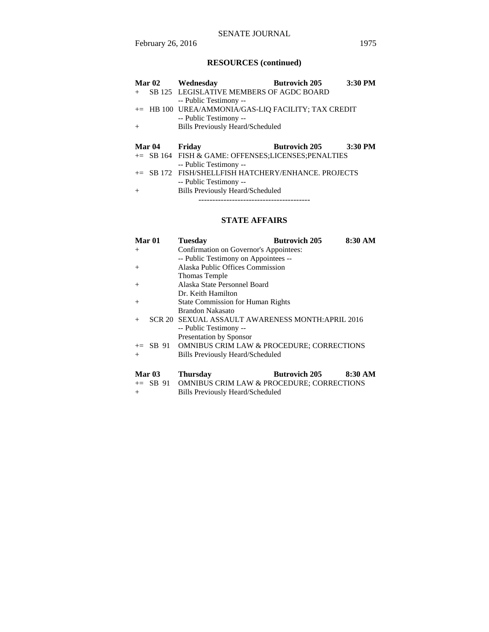# SENATE JOURNAL

# **RESOURCES (continued)**

| Mar <sub>02</sub> | Wednesday                                           | <b>Butrovich 205</b> | 3:30 PM   |
|-------------------|-----------------------------------------------------|----------------------|-----------|
| $+$               | SB 125 LEGISLATIVE MEMBERS OF AGDC BOARD            |                      |           |
|                   | -- Public Testimony --                              |                      |           |
|                   | += HB 100 UREA/AMMONIA/GAS-LIQ FACILITY; TAX CREDIT |                      |           |
|                   | -- Public Testimony --                              |                      |           |
| $^{+}$            | <b>Bills Previously Heard/Scheduled</b>             |                      |           |
|                   |                                                     |                      |           |
|                   |                                                     |                      |           |
| Mar 04            | Friday                                              | <b>Butrovich 205</b> | $3:30$ PM |
|                   | += SB 164 FISH & GAME: OFFENSES;LICENSES;PENALTIES  |                      |           |
|                   | -- Public Testimony --                              |                      |           |
|                   | += SB 172 FISH/SHELLFISH HATCHERY/ENHANCE, PROJECTS |                      |           |
|                   | -- Public Testimony --                              |                      |           |
| $^{+}$            | <b>Bills Previously Heard/Scheduled</b>             |                      |           |

# **STATE AFFAIRS**

| Mar 01            | <b>Tuesday</b>                                       | <b>Butrovich 205</b> | 8:30 AM |  |  |
|-------------------|------------------------------------------------------|----------------------|---------|--|--|
| $+$               | Confirmation on Governor's Appointees:               |                      |         |  |  |
|                   | -- Public Testimony on Appointees --                 |                      |         |  |  |
| $+$               | Alaska Public Offices Commission                     |                      |         |  |  |
|                   | Thomas Temple                                        |                      |         |  |  |
| $+$               | Alaska State Personnel Board                         |                      |         |  |  |
|                   | Dr. Keith Hamilton                                   |                      |         |  |  |
| $+$               | <b>State Commission for Human Rights</b>             |                      |         |  |  |
|                   | Brandon Nakasato                                     |                      |         |  |  |
| $+$               | SCR 20 SEXUAL ASSAULT AWARENESS MONTH: APRIL 2016    |                      |         |  |  |
|                   | -- Public Testimony --                               |                      |         |  |  |
|                   | <b>Presentation by Sponsor</b>                       |                      |         |  |  |
|                   | += SB 91 OMNIBUS CRIM LAW & PROCEDURE; CORRECTIONS   |                      |         |  |  |
| $+$               | Bills Previously Heard/Scheduled                     |                      |         |  |  |
|                   |                                                      |                      |         |  |  |
| Mar <sub>03</sub> | <b>Thursday</b>                                      | <b>Butrovich 205</b> | 8:30 AM |  |  |
| $+=$ SB 91        | <b>OMNIBUS CRIM LAW &amp; PROCEDURE; CORRECTIONS</b> |                      |         |  |  |

+ Bills Previously Heard/Scheduled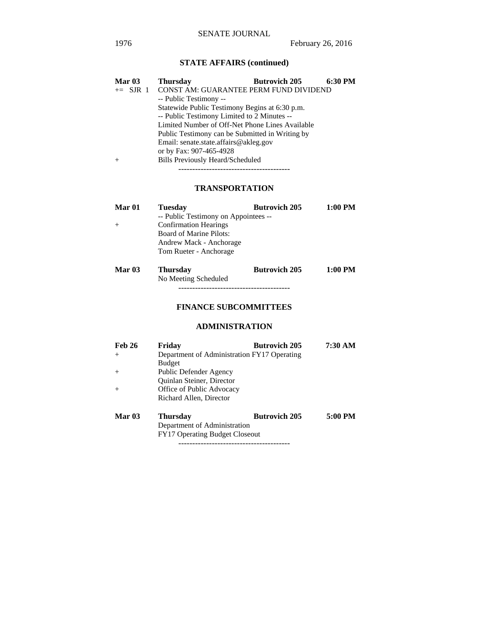# **STATE AFFAIRS (continued)**

| Mar <sub>03</sub> | <b>Butrovich 205</b><br><b>Thursday</b>         | 6:30 PM |  |
|-------------------|-------------------------------------------------|---------|--|
|                   | += SJR 1 CONST AM: GUARANTEE PERM FUND DIVIDEND |         |  |
|                   | -- Public Testimony --                          |         |  |
|                   | Statewide Public Testimony Begins at 6:30 p.m.  |         |  |
|                   | -- Public Testimony Limited to 2 Minutes --     |         |  |
|                   | Limited Number of Off-Net Phone Lines Available |         |  |
|                   | Public Testimony can be Submitted in Writing by |         |  |
|                   | Email: senate.state.affairs@akleg.gov           |         |  |
|                   | or by Fax: 907-465-4928                         |         |  |
| $+$               | <b>Bills Previously Heard/Scheduled</b>         |         |  |
|                   |                                                 |         |  |

# **TRANSPORTATION**

| Mar <sub>01</sub> | <b>Tuesday</b>                       | <b>Butrovich 205</b> | 1:00 PM |
|-------------------|--------------------------------------|----------------------|---------|
|                   | -- Public Testimony on Appointees -- |                      |         |
| $+$               | <b>Confirmation Hearings</b>         |                      |         |
|                   | <b>Board of Marine Pilots:</b>       |                      |         |
|                   | Andrew Mack - Anchorage              |                      |         |
|                   | Tom Rueter - Anchorage               |                      |         |
| Mar <sub>03</sub> | <b>Thursday</b>                      | <b>Butrovich 205</b> | 1:00 PM |
|                   | No Meeting Scheduled                 |                      |         |

# **FINANCE SUBCOMMITTEES**

----------------------------------------

## **ADMINISTRATION**

| <b>Feb 26</b> | Friday                                      | <b>Butrovich 205</b> | 7:30 AM |
|---------------|---------------------------------------------|----------------------|---------|
| $^{+}$        | Department of Administration FY17 Operating |                      |         |
|               | <b>Budget</b>                               |                      |         |
| $+$           | Public Defender Agency                      |                      |         |
|               | Quinlan Steiner, Director                   |                      |         |
| $+$           | Office of Public Advocacy                   |                      |         |
|               | Richard Allen, Director                     |                      |         |
| <b>Mar 03</b> | <b>Thursday</b>                             | <b>Butrovich 205</b> | 5:00 PM |
|               | Department of Administration                |                      |         |
|               | <b>FY17 Operating Budget Closeout</b>       |                      |         |

----------------------------------------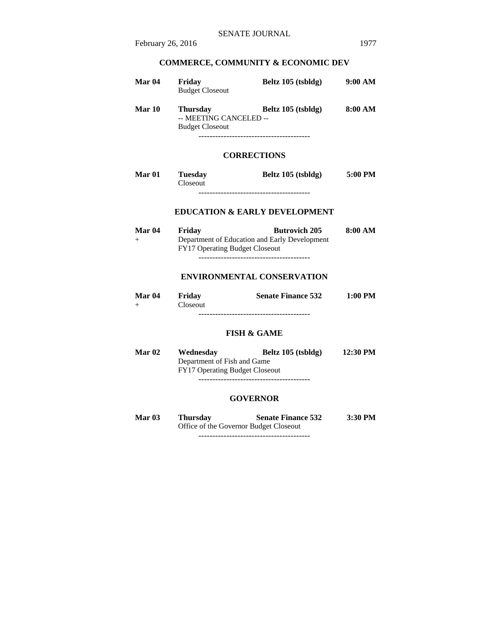# **COMMERCE, COMMUNITY & ECONOMIC DEV**

| Mar 04 | Friday<br><b>Budget Closeout</b>                                    | Beltz 105 (tsbldg) | 9:00 AM |
|--------|---------------------------------------------------------------------|--------------------|---------|
| Mar 10 | <b>Thursday</b><br>-- MEETING CANCELED --<br><b>Budget Closeout</b> | Beltz 105 (tsbldg) | 8:00 AM |
|        |                                                                     | <b>CORRECTIONS</b> |         |

| Mar <sub>01</sub> | <b>Tuesday</b>  | Beltz 105 (tsbldg) | 5:00 PM |
|-------------------|-----------------|--------------------|---------|
|                   | <b>Closeout</b> |                    |         |
|                   |                 |                    |         |

# **EDUCATION & EARLY DEVELOPMENT**

| Mar 04 | Friday                                | <b>Butrovich 205</b>                          | 8:00 AM |
|--------|---------------------------------------|-----------------------------------------------|---------|
| $+$    |                                       | Department of Education and Early Development |         |
|        | <b>FY17 Operating Budget Closeout</b> |                                               |         |
|        |                                       |                                               |         |

# **ENVIRONMENTAL CONSERVATION**

| <b>Mar 04</b> | Friday          | <b>Senate Finance 532</b> | $1:00$ PM |  |  |
|---------------|-----------------|---------------------------|-----------|--|--|
|               | <b>Closeout</b> |                           |           |  |  |
|               |                 |                           |           |  |  |

# **FISH & GAME**

| <b>Mar 02</b> | Wednesday                             | Beltz 105 (tsbldg) | 12:30 PM |
|---------------|---------------------------------------|--------------------|----------|
|               | Department of Fish and Game           |                    |          |
|               | <b>FY17 Operating Budget Closeout</b> |                    |          |
|               |                                       |                    |          |

#### **GOVERNOR**

| Mar $03$ | Thursday                               | <b>Senate Finance 532</b> | 3:30 PM |
|----------|----------------------------------------|---------------------------|---------|
|          | Office of the Governor Budget Closeout |                           |         |
|          |                                        |                           |         |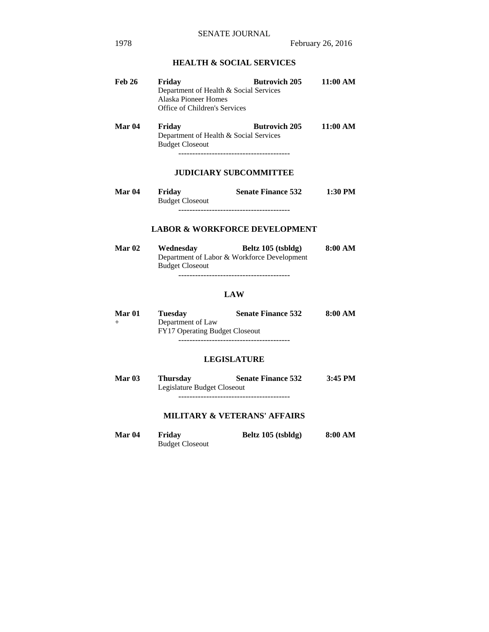# **HEALTH & SOCIAL SERVICES**

| <b>Feb 26</b> | Friday                                 | <b>Butrovich 205</b> | 11:00 AM |  |
|---------------|----------------------------------------|----------------------|----------|--|
|               | Department of Health & Social Services |                      |          |  |
|               | Alaska Pioneer Homes                   |                      |          |  |
|               | Office of Children's Services          |                      |          |  |
|               |                                        |                      |          |  |

Mar 04 Friday Butrovich 205 11:00 AM Department of Health & Social Services Budget Closeout ----------------------------------------

# **JUDICIARY SUBCOMMITTEE**

| Mar <sub>04</sub> | Friday                 | <b>Senate Finance 532</b> | 1:30 PM |
|-------------------|------------------------|---------------------------|---------|
|                   | <b>Budget Closeout</b> |                           |         |
|                   |                        |                           |         |

# **LABOR & WORKFORCE DEVELOPMENT**

| <b>Mar 02</b> | Wednesday                                   | Beltz 105 (tsbldg) | 8:00 AM |
|---------------|---------------------------------------------|--------------------|---------|
|               | Department of Labor & Workforce Development |                    |         |
|               | <b>Budget Closeout</b>                      |                    |         |
|               |                                             |                    |         |

# **LAW**

| Mar 01 | Tuesdav                               | <b>Senate Finance 532</b> | 8:00 AM |
|--------|---------------------------------------|---------------------------|---------|
|        | Department of Law                     |                           |         |
|        | <b>FY17 Operating Budget Closeout</b> |                           |         |
|        |                                       |                           |         |

### **LEGISLATURE**

| <b>Mar 03</b> | <b>Thursday</b>             | <b>Senate Finance 532</b> | $3:45$ PM |
|---------------|-----------------------------|---------------------------|-----------|
|               | Legislature Budget Closeout |                           |           |

----------------------------------------

# **MILITARY & VETERANS' AFFAIRS**

| Mar 04 | Friday                 | Beltz 105 (tsbldg) | 8:00 AM |
|--------|------------------------|--------------------|---------|
|        | <b>Budget Closeout</b> |                    |         |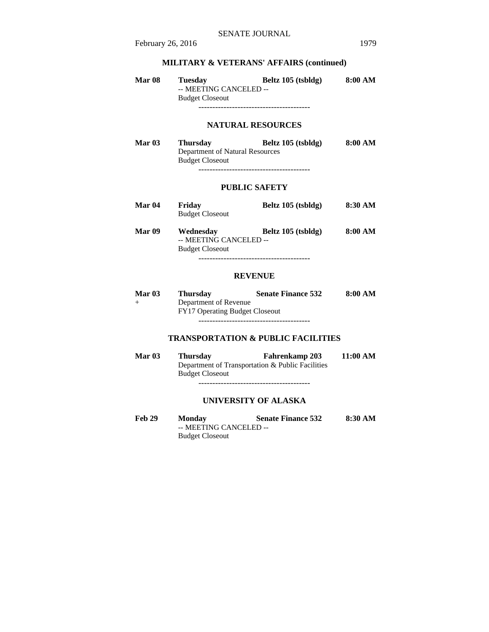# **MILITARY & VETERANS' AFFAIRS (continued)**

| <b>Mar 08</b> | <b>Tuesday</b>         | Beltz 105 (tsbldg) | 8:00 AM |
|---------------|------------------------|--------------------|---------|
|               | -- MEETING CANCELED -- |                    |         |
|               | <b>Budget Closeout</b> |                    |         |
|               |                        |                    |         |

## **NATURAL RESOURCES**

| <b>Mar 03</b> | <b>Thursday</b>                 | Beltz 105 (tsbldg) | 8:00 AM |
|---------------|---------------------------------|--------------------|---------|
|               | Department of Natural Resources |                    |         |
|               | <b>Budget Closeout</b>          |                    |         |
|               |                                 |                    |         |

#### **PUBLIC SAFETY**

| Mar 04 | Friday<br><b>Budget Closeout</b>                              | Beltz 105 (tsbldg) | 8:30 AM |
|--------|---------------------------------------------------------------|--------------------|---------|
| Mar 09 | Wednesday<br>-- MEETING CANCELED --<br><b>Budget Closeout</b> | Beltz 105 (tsbldg) | 8:00 AM |

----------------------------------------

## **REVENUE**

| Mar $03$ | <b>Thursday</b>                       | <b>Senate Finance 532</b> | 8:00 AM |
|----------|---------------------------------------|---------------------------|---------|
| $^{+}$   | Department of Revenue                 |                           |         |
|          | <b>FY17 Operating Budget Closeout</b> |                           |         |
|          |                                       |                           |         |

# **TRANSPORTATION & PUBLIC FACILITIES**

| <b>Mar 03</b> | <b>Thursday</b>                                  | <b>Fahrenkamp 203</b> | 11:00 AM |
|---------------|--------------------------------------------------|-----------------------|----------|
|               | Department of Transportation & Public Facilities |                       |          |
|               | <b>Budget Closeout</b>                           |                       |          |
|               |                                                  |                       |          |

# **UNIVERSITY OF ALASKA**

Feb 29 Monday Senate Finance 532 8:30 AM -- MEETING CANCELED -- Budget Closeout